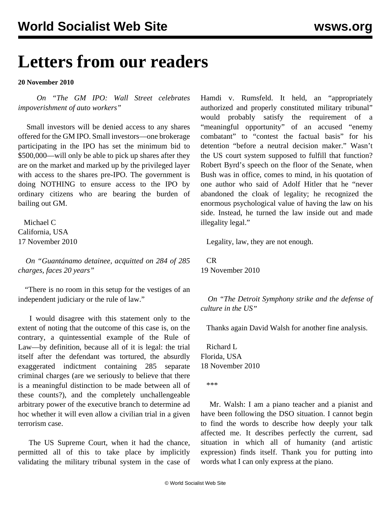## **Letters from our readers**

## **20 November 2010**

 *On ["The GM IPO: Wall Street celebrates](/en/articles/2010/nov2010/gmip-n18.shtml) [impoverishment of auto workers](/en/articles/2010/nov2010/gmip-n18.shtml)"*

 Small investors will be denied access to any shares offered for the GM IPO. Small investors—one brokerage participating in the IPO has set the minimum bid to \$500,000—will only be able to pick up shares after they are on the market and marked up by the privileged layer with access to the shares pre-IPO. The government is doing NOTHING to ensure access to the IPO by ordinary citizens who are bearing the burden of bailing out GM.

 Michael C California, USA 17 November 2010

 *On "[Guantánamo detainee, acquitted on 284 of 285](/en/articles/2010/nov2010/terr-n19.shtml) [charges, faces 20 years"](/en/articles/2010/nov2010/terr-n19.shtml)*

 "There is no room in this setup for the vestiges of an independent judiciary or the rule of law."

 I would disagree with this statement only to the extent of noting that the outcome of this case is, on the contrary, a quintessential example of the Rule of Law—by definition, because all of it is legal: the trial itself after the defendant was tortured, the absurdly exaggerated indictment containing 285 separate criminal charges (are we seriously to believe that there is a meaningful distinction to be made between all of these counts?), and the completely unchallengeable arbitrary power of the executive branch to determine ad hoc whether it will even allow a civilian trial in a given terrorism case.

 The US Supreme Court, when it had the chance, permitted all of this to take place by implicitly validating the military tribunal system in the case of Hamdi v. Rumsfeld. It held, an "appropriately authorized and properly constituted military tribunal" would probably satisfy the requirement of a "meaningful opportunity" of an accused "enemy combatant" to "contest the factual basis" for his detention "before a neutral decision maker." Wasn't the US court system supposed to fulfill that function? Robert Byrd's speech on the floor of the Senate, when Bush was in office, comes to mind, in his quotation of one author who said of Adolf Hitler that he "never abandoned the cloak of legality; he recognized the enormous psychological value of having the law on his side. Instead, he turned the law inside out and made illegality legal."

Legality, law, they are not enough.

 CR 19 November 2010

 *On "[The Detroit Symphony strike and the defense of](/en/articles/2010/nov2010/musi-n18.shtml) [culture in the US](/en/articles/2010/nov2010/musi-n18.shtml)"*

Thanks again David Walsh for another fine analysis.

 Richard L Florida, USA 18 November 2010

\*\*\*

 Mr. Walsh: I am a piano teacher and a pianist and have been following the DSO situation. I cannot begin to find the words to describe how deeply your talk affected me. It describes perfectly the current, sad situation in which all of humanity (and artistic expression) finds itself. Thank you for putting into words what I can only express at the piano.